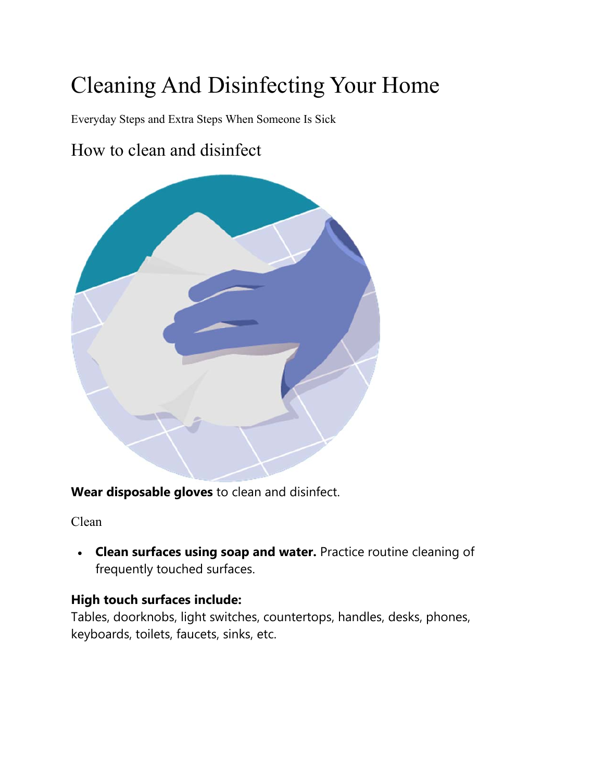# Cleaning And Disinfecting Your Home

Everyday Steps and Extra Steps When Someone Is Sick

### How to clean and disinfect



**Wear disposable gloves** to clean and disinfect.

Clean

 **Clean surfaces using soap and water.** Practice routine cleaning of frequently touched surfaces.

#### **High touch surfaces include:**

Tables, doorknobs, light switches, countertops, handles, desks, phones, keyboards, toilets, faucets, sinks, etc.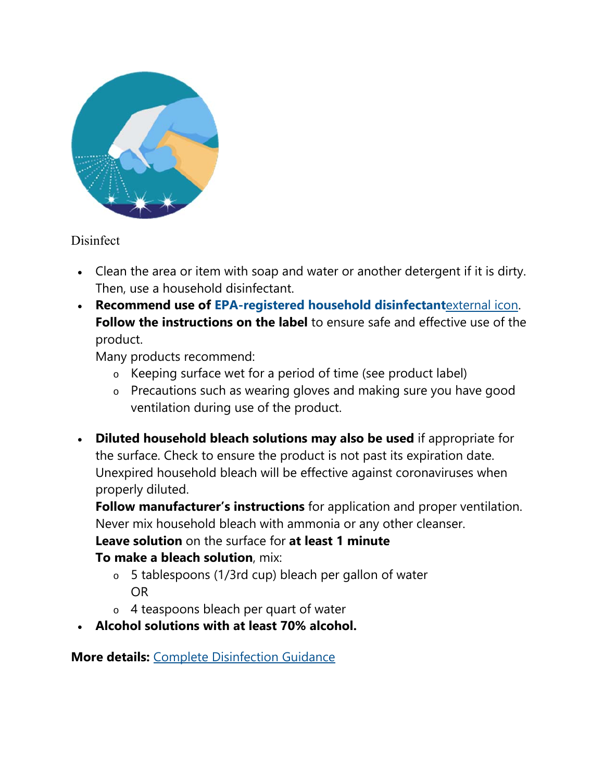

#### **Disinfect**

- Clean the area or item with soap and water or another detergent if it is dirty. Then, use a household disinfectant.
- **Recommend use of EPA-registered household disinfectant**external icon. **Follow the instructions on the label** to ensure safe and effective use of the product.

Many products recommend:

- o Keeping surface wet for a period of time (see product label)
- o Precautions such as wearing gloves and making sure you have good ventilation during use of the product.
- **Diluted household bleach solutions may also be used** if appropriate for the surface. Check to ensure the product is not past its expiration date. Unexpired household bleach will be effective against coronaviruses when properly diluted.

**Follow manufacturer's instructions** for application and proper ventilation. Never mix household bleach with ammonia or any other cleanser.

**Leave solution** on the surface for **at least 1 minute To make a bleach solution**, mix:

- o 5 tablespoons (1/3rd cup) bleach per gallon of water OR
- o 4 teaspoons bleach per quart of water
- **Alcohol solutions with at least 70% alcohol.**

**More details:** Complete Disinfection Guidance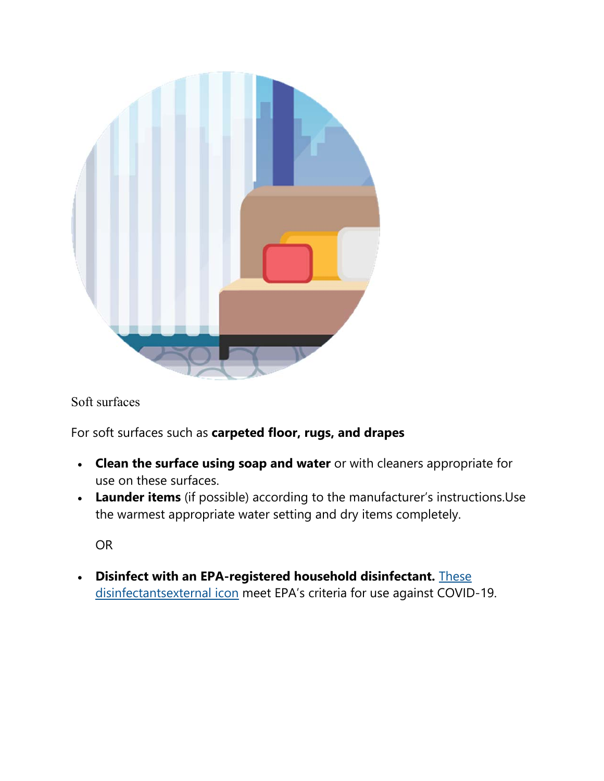

Soft surfaces

For soft surfaces such as **carpeted floor, rugs, and drapes**

- **Clean the surface using soap and water** or with cleaners appropriate for use on these surfaces.
- **Launder items** (if possible) according to the manufacturer's instructions.Use the warmest appropriate water setting and dry items completely.

OR

 **Disinfect with an EPA-registered household disinfectant.** These disinfectantsexternal icon meet EPA's criteria for use against COVID-19.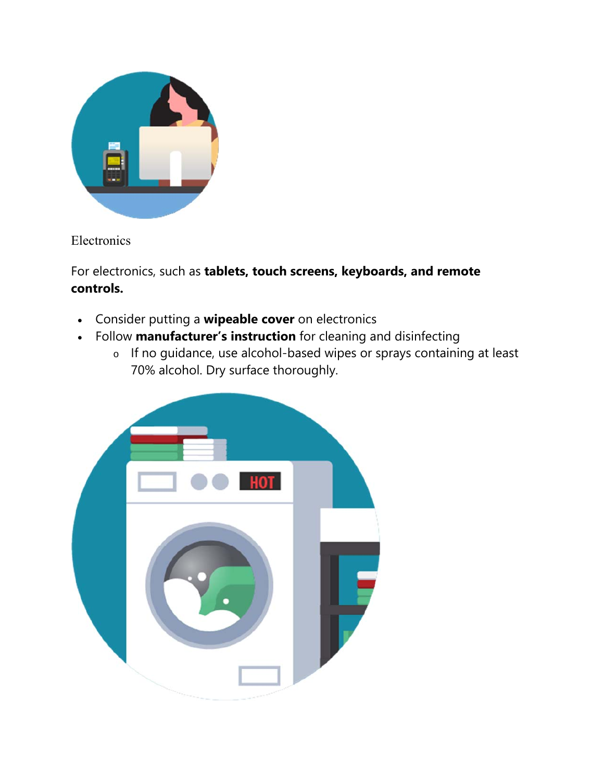

Electronics

For electronics, such as **tablets, touch screens, keyboards, and remote controls.**

- Consider putting a **wipeable cover** on electronics
- Follow **manufacturer's instruction** for cleaning and disinfecting
	- o If no guidance, use alcohol-based wipes or sprays containing at least 70% alcohol. Dry surface thoroughly.

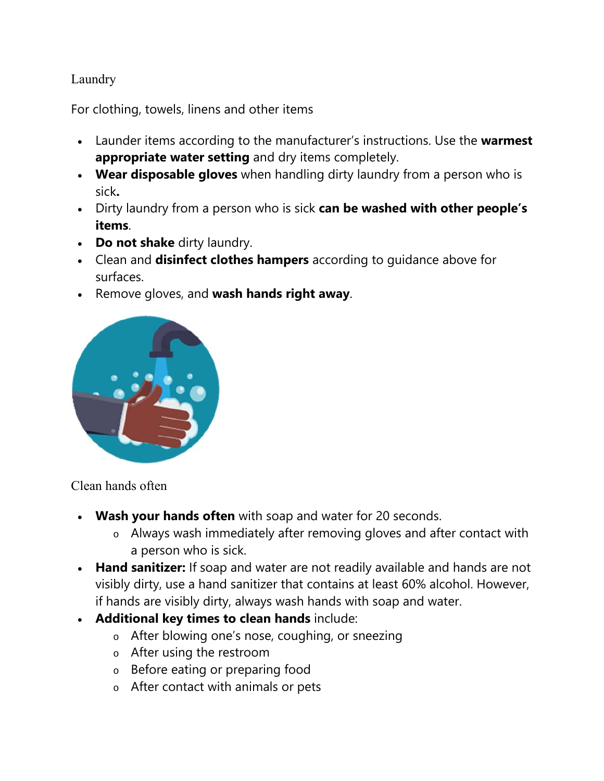#### Laundry

For clothing, towels, linens and other items

- Launder items according to the manufacturer's instructions. Use the **warmest appropriate water setting** and dry items completely.
- **Wear disposable gloves** when handling dirty laundry from a person who is sick**.**
- Dirty laundry from a person who is sick **can be washed with other people's items**.
- **Do not shake** dirty laundry.
- Clean and **disinfect clothes hampers** according to guidance above for surfaces.
- Remove gloves, and **wash hands right away**.



Clean hands often

- **Wash your hands often** with soap and water for 20 seconds.
	- o Always wash immediately after removing gloves and after contact with a person who is sick.
- **Hand sanitizer:** If soap and water are not readily available and hands are not visibly dirty, use a hand sanitizer that contains at least 60% alcohol. However, if hands are visibly dirty, always wash hands with soap and water.
- **Additional key times to clean hands** include:
	- o After blowing one's nose, coughing, or sneezing
	- o After using the restroom
	- o Before eating or preparing food
	- o After contact with animals or pets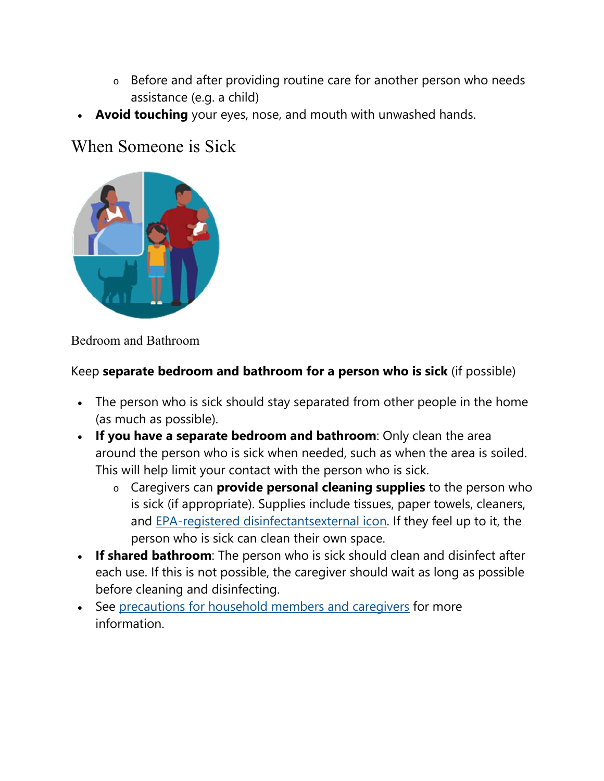- o Before and after providing routine care for another person who needs assistance (e.g. a child)
- **Avoid touching** your eyes, nose, and mouth with unwashed hands.

## When Someone is Sick



#### Bedroom and Bathroom

#### Keep **separate bedroom and bathroom for a person who is sick** (if possible)

- The person who is sick should stay separated from other people in the home (as much as possible).
- **If you have a separate bedroom and bathroom**: Only clean the area around the person who is sick when needed, such as when the area is soiled. This will help limit your contact with the person who is sick.
	- o Caregivers can **provide personal cleaning supplies** to the person who is sick (if appropriate). Supplies include tissues, paper towels, cleaners, and EPA-registered disinfectantsexternal icon. If they feel up to it, the person who is sick can clean their own space.
- **If shared bathroom**: The person who is sick should clean and disinfect after each use. If this is not possible, the caregiver should wait as long as possible before cleaning and disinfecting.
- See precautions for household members and caregivers for more information.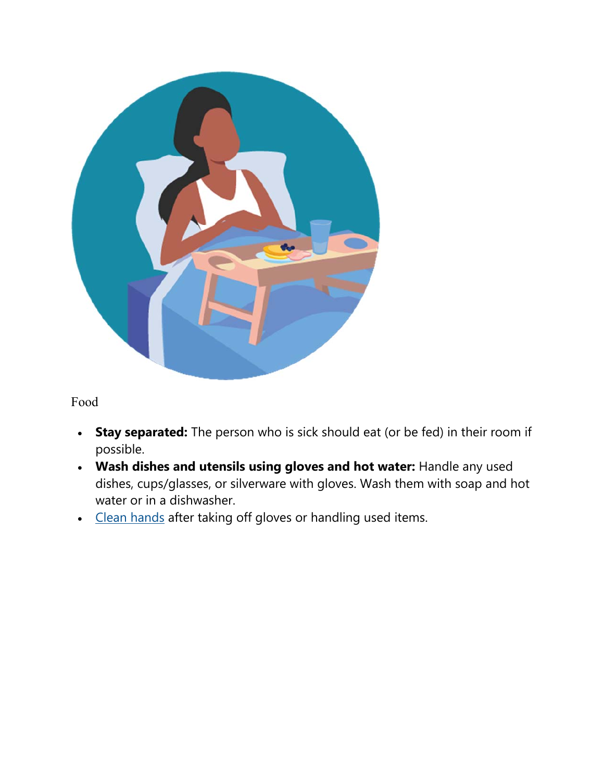

Food

- **Stay separated:** The person who is sick should eat (or be fed) in their room if possible.
- **Wash dishes and utensils using gloves and hot water:** Handle any used dishes, cups/glasses, or silverware with gloves. Wash them with soap and hot water or in a dishwasher.
- Clean hands after taking off gloves or handling used items.